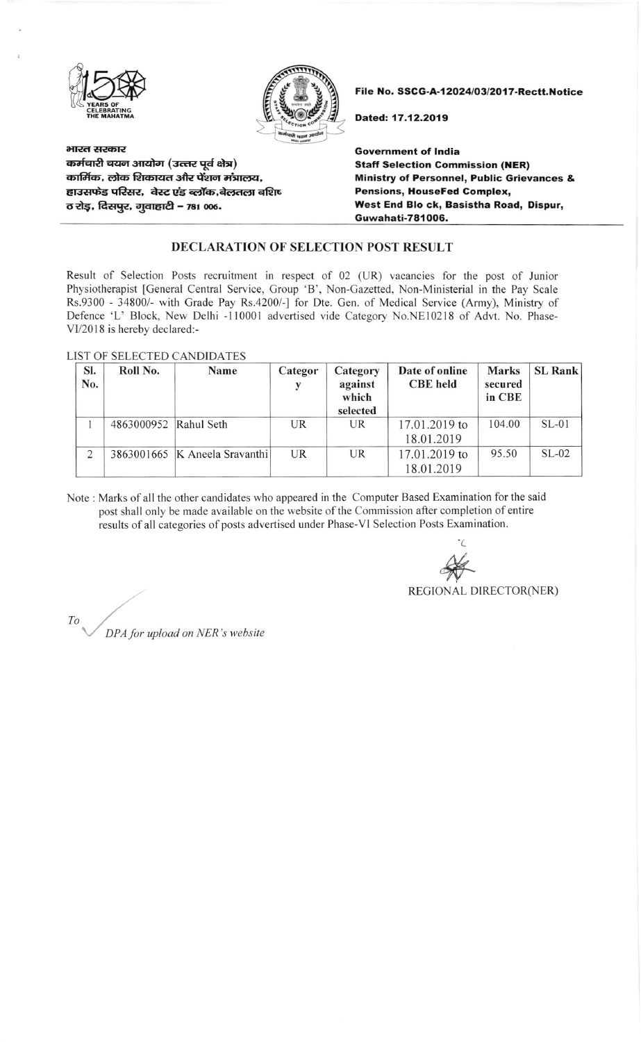



भारत सरकार कर्मचारी चयन आयोग (उत्तर पूर्व क्षेत्र) कार्मिक, लोक शिकायत और पेंशन मंत्रालय, हाउसफेड परिसर, वेस्ट एंड ब्लॉक,बेलतला बशिष o रोड़, दिसपुर, गुवाहाटी - 781 006.

File No. SSCG-A-12024/03/2017-Rectt.Notice

Dated: 17.12.2019

Government of India Staff Selection Commission (NER) Ministry of Personnel, Public Grievances & Pensions, HouseFed Complex, West End Blo ck, Basistha Road, Dispur, Guwahati-781006.

## DECLARATION OF SELECTION POST RESULT

Result of Selection Posts recruitment in respect of 02 (UR) vacancies for the post of Junior Physiotherapist [General Central Service, Croup 'B', Non-Gazetted, Non-Ministerial in the Pay Scale Rs.9300 - 34800/- with Grade Pay Rs.4200/-] for Dte. Gen. of Medical Service (Army), Ministry of Defence 'L' Block, New Delhi -110001 advertised vide Category No.NEl02l8 of Adrt. No. Phase-VI/2018 is hereby declared:-

LIST OF SELECTED CANDIDATES

| SI.<br>No. | Roll No.              | Name                            | Categor   | Category<br>against<br>which<br>selected | Date of online<br><b>CBE</b> held | <b>Marks</b><br>secured<br>in CBE | <b>SL Rank</b> |
|------------|-----------------------|---------------------------------|-----------|------------------------------------------|-----------------------------------|-----------------------------------|----------------|
|            | 4863000952 Rahul Seth |                                 | <b>UR</b> | <b>UR</b>                                | 17.01.2019 to<br>18.01.2019       | 104.00                            | $SL-01$        |
| 2          |                       | 3863001665   K Aneela Sravanthi | <b>UR</b> | <b>UR</b>                                | 17.01.2019 to<br>18.01.2019       | 95.50                             | $SL-02$        |

Note: Marks of all the other candidates who appeared in the Computer Based Examination for the said post shall only be made available on the website of the Commission after completion of entire results of all categories of posts advertised under Phase-VI Selection Posts Examination.

'( **ELECTOR (NER)**<br>REGIONAL DIRECTOR (NER

 $T$ o<br>DPA for upload on NER's website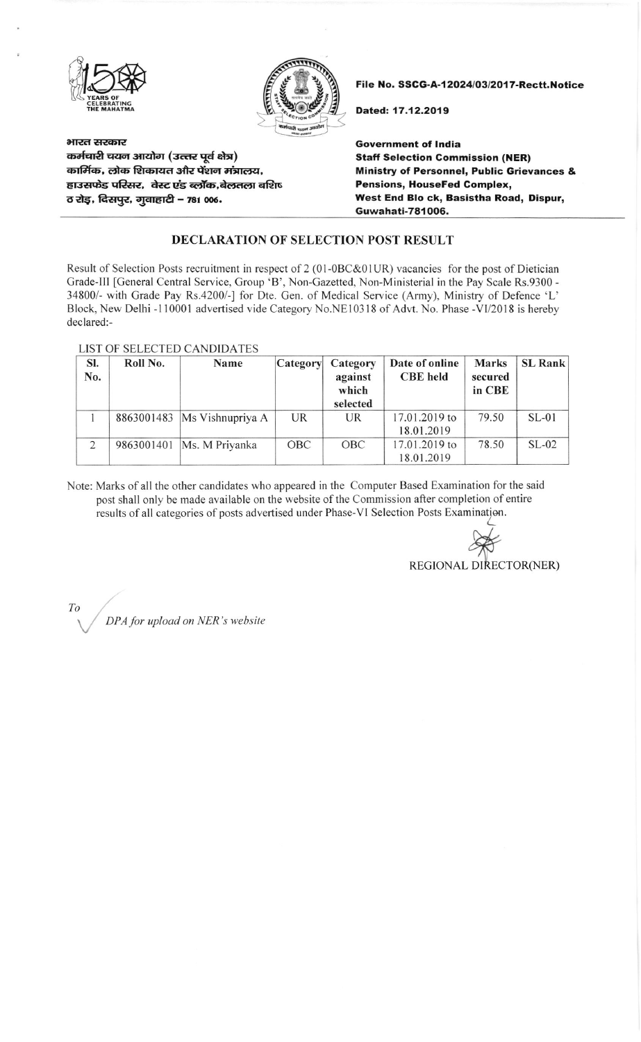



भारत सरकार कर्मचारी चयन आयोग (उत्तर पूर्व क्षेत्र) कार्मिक, लोक शिकायत और पेंशन मंत्रालय, हाउसफेड परिसर, वेस्ट एंड ब्लॉक,बेलतला बशिष ठ रोड़, दिसपुर, गुवाहाटी - 781 006.

File No. SSCG-A-12024/03/2017-Rectt.Notice

Dated: 17.12.2019

Government of India Staft Selection Gommission (NER) **Ministry of Personnel, Public Grievances &** Pensions, HouseFed Complex, West End Blo ck, Basistha Road, Dispur, Guwahati-781OO6.

## DECLARATION OF SELECTION POST RESULT

Result of Selection Posts recruitment in respect of 2 (01-0BC&01UR) vacancies for the post of Dietician Grade-lll [General Central Service, Group 'B', Non-Gazetted, Non-Ministerial in the Pay Scale Rs.9300 - 34800/- with Grade Pay Rs.4200/-] for Dte. Gen. of Medical Service (Army), Ministry of Defence 'L' Block, New Delhi - 110001 advertised vide Category No.NE10318 of Advt. No. Phase -VI/2018 is hereby declared:-

## LIST OF SELECTED CANDIDATES

| SI. | Roll No.   | Name                          | Category   | Category         | Date of online  | Marks             | <b>SL Rank</b> |
|-----|------------|-------------------------------|------------|------------------|-----------------|-------------------|----------------|
| No. |            |                               |            | against<br>which | <b>CBE</b> held | secured<br>in CBE |                |
|     |            |                               |            | selected         |                 |                   |                |
|     |            | 8863001483   Ms Vishnupriya A | <b>UR</b>  | UR               | 17.01.2019 to   | 79.50             | $SL-01$        |
|     |            |                               |            |                  | 18.01.2019      |                   |                |
| 2   | 9863001401 | Ms. M Priyanka                | <b>OBC</b> | OBC              | 17.01.2019 to   | 78.50             | $SL-02$        |
|     |            |                               |            |                  | 18.01.2019      |                   |                |

Note: Marks of all the other candidates who appeared in the Computer Based Examination forthe said post shall only be made available on the website of the Commission after completion of entire results of all categories of posts advertised under Phase-VI Selection Posts Examination.

REGIONAL DIRECTOR(NER)  $\frac{c}{\sqrt{2}}$ 

To DPA for upload on NER's website